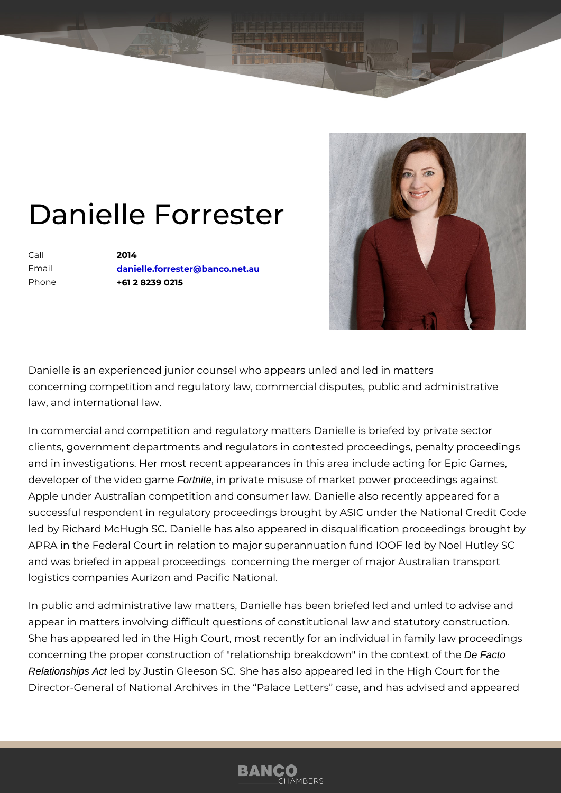## Danielle Forrester

Call 2014 Email [danielle.forrester@banc](mailto:danielle.forrester@banco.net.au)o.net.au Phone +61 2 8239 0215

Danielle is an experienced junior counsel who appears unled and led in n concerning competition and regulatory law, commercial disputes, public a law, and international law.

In commercial and competition and regulatory matters Danielle is briefed clients, government departments and regulators in contested proceedings and in investigations. Her most recent appearances in this area include a developer of the videorthite, mien private misuse of market power proceedings Apple under Australian competition and consumer law. Danielle also rece successful respondent in regulatory proceedings brought by ASIC under t led by Richard McHugh SC. Danielle has also appeared in disqualification APRA in the Federal Court in relation to major superannuation fund IOOF and was briefed in appeal proceedings concerning the merger of major A logistics companies Aurizon and Pacific National.

In public and administrative law matters, Danielle has been briefed led a appear in matters involving difficult questions of constitutional law and s She has appeared led in the High Court, most recently for an individual i concerning the proper construction of "relationship breakdo Den Facto the context of the Context of the Context of the Context of the Context of the Context of the Context of the Context of the Context of the Context of th Relationships Act led by Justin GleeSbe 5&s also appeared led in the High Court Director-General of National Archives in the Palace Letters case, and h